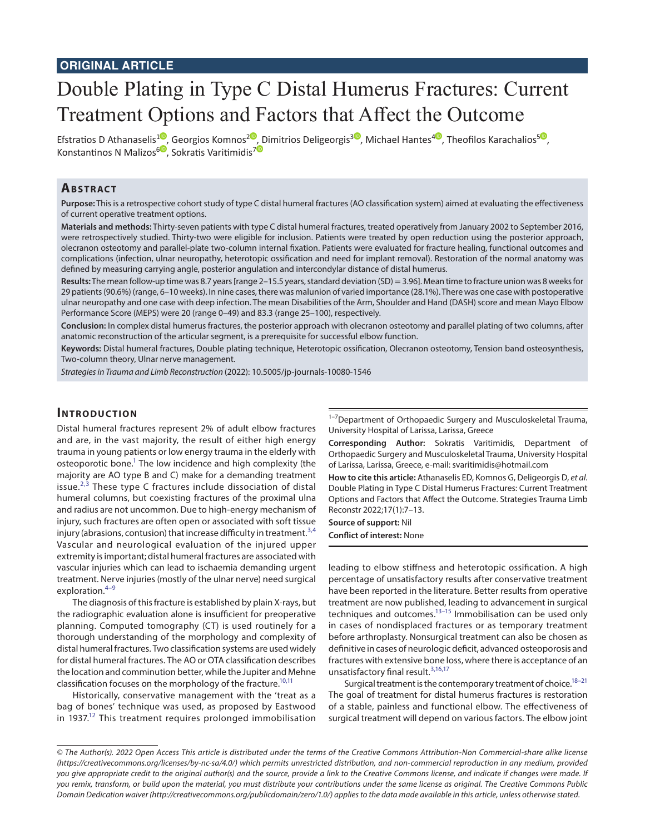# **ORIGINAL ARTICLE**

# Double Plating in Type C Distal Humerus Fractures: Current Treatment Options and Factors that Affect the Outcome

Efstratios D Athanaselis<sup>[1](https://orcid.org/0000-0002-5924-5868)0</sup>, Georgios Komnos<sup>[2](https://orcid.org/0000-0002-6832-0014)0</sup>[, D](https://orcid.org/0000-0003-3193-9566)imitrios Deligeorgis<sup>[3](https://orcid.org/0000-0002-0724-0846)0</sup>, Michael Hantes<sup>[4](https://orcid.org/0000-0001-9494-6048)0</sup>, Theofilos Karachalios<sup>[5](https://orcid.org/0000-0002-9043-0535)0</sup>, Konstantinos N Malizos<sup>[6](https://orcid.org/0000-0001-6594-3649)</sup>, Sokratis Varitimidis<sup>7</sup>

#### **ABSTRACT**

**Purpose:** This is a retrospective cohort study of type C distal humeral fractures (AO classification system) aimed at evaluating the effectiveness of current operative treatment options.

**Materials and methods:** Thirty-seven patients with type C distal humeral fractures, treated operatively from January 2002 to September 2016, were retrospectively studied. Thirty-two were eligible for inclusion. Patients were treated by open reduction using the posterior approach, olecranon osteotomy and parallel-plate two-column internal fixation. Patients were evaluated for fracture healing, functional outcomes and complications (infection, ulnar neuropathy, heterotopic ossification and need for implant removal). Restoration of the normal anatomy was defined by measuring carrying angle, posterior angulation and intercondylar distance of distal humerus.

**Results:** The mean follow-up time was 8.7 years [range 2–15.5 years, standard deviation (SD) = 3.96]. Mean time to fracture union was 8 weeks for 29 patients (90.6%) (range, 6–10 weeks). In nine cases, there was malunion of varied importance (28.1%). There was one case with postoperative ulnar neuropathy and one case with deep infection. The mean Disabilities of the Arm, Shoulder and Hand (DASH) score and mean Mayo Elbow Performance Score (MEPS) were 20 (range 0–49) and 83.3 (range 25–100), respectively.

**Conclusion:** In complex distal humerus fractures, the posterior approach with olecranon osteotomy and parallel plating of two columns, after anatomic reconstruction of the articular segment, is a prerequisite for successful elbow function.

**Keywords:** Distal humeral fractures, Double plating technique, Heterotopic ossification, Olecranon osteotomy, Tension band osteosynthesis, Two-column theory, Ulnar nerve management.

*Strategies in Trauma and Limb Reconstruction* (2022): 10.5005/jp-journals-10080-1546

# **INTRODUCTION**

Distal humeral fractures represent 2% of adult elbow fractures and are, in the vast majority, the result of either high energy trauma in young patients or low energy trauma in the elderly with osteoporotic bone.<sup>1</sup> The low incidence and high complexity (the majority are AO type B and C) make for a demanding treatment issue. $^{2,3}$  $^{2,3}$  $^{2,3}$  $^{2,3}$  These type C fractures include dissociation of distal humeral columns, but coexisting fractures of the proximal ulna and radius are not uncommon. Due to high-energy mechanism of injury, such fractures are often open or associated with soft tissue injury (abrasions, contusion) that increase difficulty in treatment. $3,4$  $3,4$  $3,4$ Vascular and neurological evaluation of the injured upper extremity is important; distal humeral fractures are associated with vascular injuries which can lead to ischaemia demanding urgent treatment. Nerve injuries (mostly of the ulnar nerve) need surgical exploration.[4](#page-4-3)[–9](#page-4-4)

The diagnosis of this fracture is established by plain X-rays, but the radiographic evaluation alone is insufficient for preoperative planning. Computed tomography (CT) is used routinely for a thorough understanding of the morphology and complexity of distal humeral fractures. Two classification systems are used widely for distal humeral fractures. The AO or OTA classification describes the location and comminution better, while the Jupiter and Mehne classification focuses on the morphology of the fracture.<sup>10,[11](#page-4-6)</sup>

Historically, conservative management with the 'treat as a bag of bones' technique was used, as proposed by Eastwood in 1937.<sup>12</sup> This treatment requires prolonged immobilisation <sup>1-7</sup>Department of Orthopaedic Surgery and Musculoskeletal Trauma, University Hospital of Larissa, Larissa, Greece

**Corresponding Author:** Sokratis Varitimidis, Department of Orthopaedic Surgery and Musculoskeletal Trauma, University Hospital of Larissa, Larissa, Greece, e-mail: svaritimidis@hotmail.com

**How to cite this article:** Athanaselis ED, Komnos G, Deligeorgis D, *et al*. Double Plating in Type C Distal Humerus Fractures: Current Treatment Options and Factors that Affect the Outcome. Strategies Trauma Limb Reconstr 2022;17(1):7–13.

**Source of support:** Nil **Conflict of interest:** None

leading to elbow stiffness and heterotopic ossification. A high percentage of unsatisfactory results after conservative treatment have been reported in the literature. Better results from operative treatment are now published, leading to advancement in surgical techniques and outcomes.<sup>13-15</sup> Immobilisation can be used only in cases of nondisplaced fractures or as temporary treatment before arthroplasty. Nonsurgical treatment can also be chosen as definitive in cases of neurologic deficit, advanced osteoporosis and fractures with extensive bone loss, where there is acceptance of an unsatisfactory final result.<sup>[3](#page-4-2)[,16,](#page-5-0)[17](#page-5-1)</sup>

Surgical treatment is the contemporary treatment of choice.<sup>18-[21](#page-5-3)</sup> The goal of treatment for distal humerus fractures is restoration of a stable, painless and functional elbow. The effectiveness of surgical treatment will depend on various factors. The elbow joint

*<sup>©</sup> The Author(s). 2022 Open Access This article is distributed under the terms of the Creative Commons Attribution-Non Commercial-share alike license [\(https://creativecommons.org/licenses/by-nc-sa/4.0/](https://creativecommons.org/licenses/by-nc-sa/4.0/)) which permits unrestricted distribution, and non-commercial reproduction in any medium, provided you give appropriate credit to the original author(s) and the source, provide a link to the Creative Commons license, and indicate if changes were made. If you remix, transform, or build upon the material, you must distribute your contributions under the same license as original. The Creative Commons Public Domain Dedication waiver [\(http://creativecommons.org/publicdomain/zero/1.0/\)](http://creativecommons.org/publicdomain/zero/1.0/) applies to the data made available in this article, unless otherwise stated.*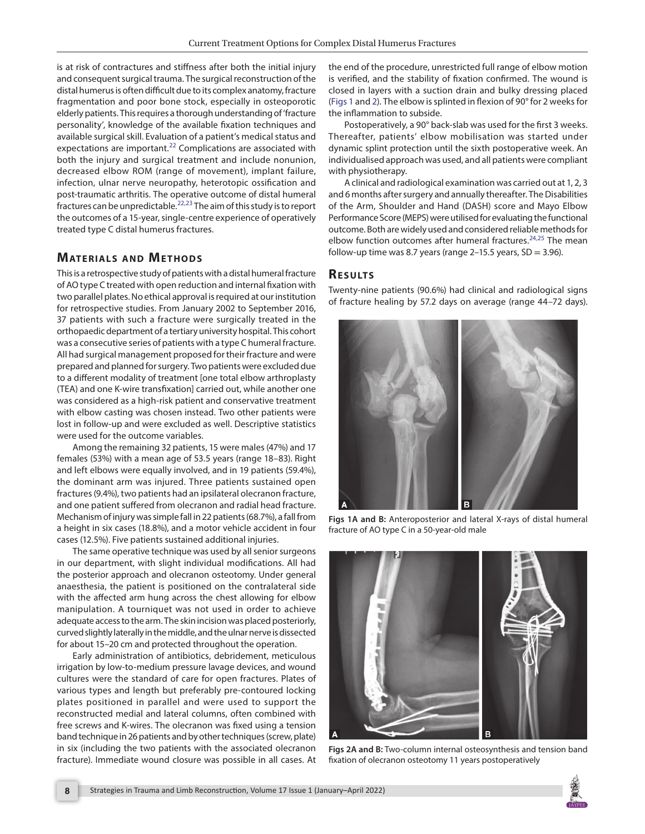is at risk of contractures and stiffness after both the initial injury and consequent surgical trauma. The surgical reconstruction of the distal humerus is often difficult due to its complex anatomy, fracture fragmentation and poor bone stock, especially in osteoporotic elderly patients. This requires a thorough understanding of 'fracture personality', knowledge of the available fixation techniques and available surgical skill. Evaluation of a patient's medical status and expectations are important.<sup>[22](#page-5-4)</sup> Complications are associated with both the injury and surgical treatment and include nonunion, decreased elbow ROM (range of movement), implant failure, infection, ulnar nerve neuropathy, heterotopic ossification and post-traumatic arthritis. The operative outcome of distal humeral fractures can be unpredictable.<sup>[22](#page-5-4),23</sup> The aim of this study is to report the outcomes of a 15-year, single-centre experience of operatively treated type C distal humerus fractures.

# **MATERIALS AND METHODS**

This is a retrospective study of patients with a distal humeral fracture of AO type C treated with open reduction and internal fixation with two parallel plates. No ethical approval is required at our institution for retrospective studies. From January 2002 to September 2016, 37 patients with such a fracture were surgically treated in the orthopaedic department of a tertiary university hospital. This cohort was a consecutive series of patients with a type C humeral fracture. All had surgical management proposed for their fracture and were prepared and planned for surgery. Two patients were excluded due to a different modality of treatment [one total elbow arthroplasty (TEA) and one K-wire transfixation] carried out, while another one was considered as a high-risk patient and conservative treatment with elbow casting was chosen instead. Two other patients were lost in follow-up and were excluded as well. Descriptive statistics were used for the outcome variables.

Among the remaining 32 patients, 15 were males (47%) and 17 females (53%) with a mean age of 53.5 years (range 18–83). Right and left elbows were equally involved, and in 19 patients (59.4%), the dominant arm was injured. Three patients sustained open fractures (9.4%), two patients had an ipsilateral olecranon fracture, and one patient suffered from olecranon and radial head fracture. Mechanism of injury was simple fall in 22 patients (68.7%), a fall from a height in six cases (18.8%), and a motor vehicle accident in four cases (12.5%). Five patients sustained additional injuries.

The same operative technique was used by all senior surgeons in our department, with slight individual modifications. All had the posterior approach and olecranon osteotomy. Under general anaesthesia, the patient is positioned on the contralateral side with the affected arm hung across the chest allowing for elbow manipulation. A tourniquet was not used in order to achieve adequate access to the arm. The skin incision was placed posteriorly, curved slightly laterally in the middle, and the ulnar nerve is dissected for about 15–20 cm and protected throughout the operation.

Early administration of antibiotics, debridement, meticulous irrigation by low-to-medium pressure lavage devices, and wound cultures were the standard of care for open fractures. Plates of various types and length but preferably pre-contoured locking plates positioned in parallel and were used to support the reconstructed medial and lateral columns, often combined with free screws and K-wires. The olecranon was fixed using a tension band technique in 26 patients and by other techniques (screw, plate) in six (including the two patients with the associated olecranon fracture). Immediate wound closure was possible in all cases. At the end of the procedure, unrestricted full range of elbow motion is verified, and the stability of fixation confirmed. The wound is closed in layers with a suction drain and bulky dressing placed [\(Figs 1](#page-1-0) and [2\)](#page-1-1). The elbow is splinted in flexion of 90° for 2 weeks for the inflammation to subside.

Postoperatively, a 90° back-slab was used for the first 3 weeks. Thereafter, patients' elbow mobilisation was started under dynamic splint protection until the sixth postoperative week. An individualised approach was used, and all patients were compliant with physiotherapy.

A clinical and radiological examination was carried out at 1, 2, 3 and 6 months after surgery and annually thereafter. The Disabilities of the Arm, Shoulder and Hand (DASH) score and Mayo Elbow Performance Score (MEPS) were utilised for evaluating the functional outcome. Both are widely used and considered reliable methods for elbow function outcomes after humeral fractures.<sup>[24](#page-5-6),[25](#page-5-7)</sup> The mean follow-up time was 8.7 years (range 2–15.5 years,  $SD = 3.96$ ).

## **RESULTS**

Twenty-nine patients (90.6%) had clinical and radiological signs of fracture healing by 57.2 days on average (range 44–72 days).



**Figs 1A and B:** Anteroposterior and lateral X-rays of distal humeral fracture of AO type C in a 50-year-old male

<span id="page-1-1"></span><span id="page-1-0"></span>

**Figs 2A and B:** Two-column internal osteosynthesis and tension band fixation of olecranon osteotomy 11 years postoperatively

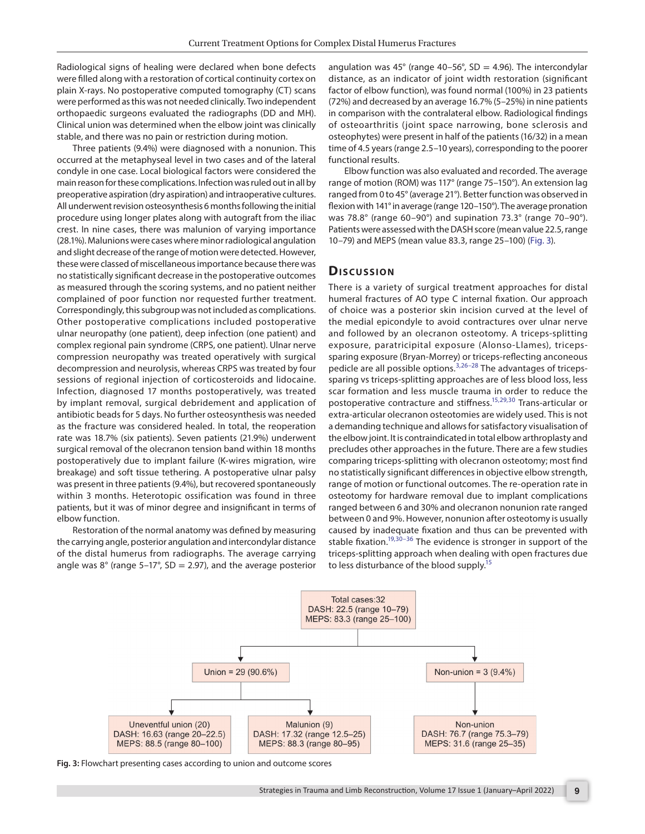Radiological signs of healing were declared when bone defects were filled along with a restoration of cortical continuity cortex on plain X-rays. No postoperative computed tomography (CT) scans were performed as this was not needed clinically. Two independent orthopaedic surgeons evaluated the radiographs (DD and MH). Clinical union was determined when the elbow joint was clinically stable, and there was no pain or restriction during motion.

Three patients (9.4%) were diagnosed with a nonunion. This occurred at the metaphyseal level in two cases and of the lateral condyle in one case. Local biological factors were considered the main reason for these complications. Infection was ruled out in all by preoperative aspiration (dry aspiration) and intraoperative cultures. All underwent revision osteosynthesis 6 months following the initial procedure using longer plates along with autograft from the iliac crest. In nine cases, there was malunion of varying importance (28.1%). Malunions were cases where minor radiological angulation and slight decrease of the range of motion were detected. However, these were classed of miscellaneous importance because there was no statistically significant decrease in the postoperative outcomes as measured through the scoring systems, and no patient neither complained of poor function nor requested further treatment. Correspondingly, this subgroup was not included as complications. Other postoperative complications included postoperative ulnar neuropathy (one patient), deep infection (one patient) and complex regional pain syndrome (CRPS, one patient). Ulnar nerve compression neuropathy was treated operatively with surgical decompression and neurolysis, whereas CRPS was treated by four sessions of regional injection of corticosteroids and lidocaine. Infection, diagnosed 17 months postoperatively, was treated by implant removal, surgical debridement and application of antibiotic beads for 5 days. No further osteosynthesis was needed as the fracture was considered healed. In total, the reoperation rate was 18.7% (six patients). Seven patients (21.9%) underwent surgical removal of the olecranon tension band within 18 months postoperatively due to implant failure (K-wires migration, wire breakage) and soft tissue tethering. A postoperative ulnar palsy was present in three patients (9.4%), but recovered spontaneously within 3 months. Heterotopic ossification was found in three patients, but it was of minor degree and insignificant in terms of elbow function.

Restoration of the normal anatomy was defined by measuring the carrying angle, posterior angulation and intercondylar distance of the distal humerus from radiographs. The average carrying angle was  $8^{\circ}$  (range 5–17°, SD = 2.97), and the average posterior angulation was 45 $^{\circ}$  (range 40–56 $^{\circ}$ , SD = 4.96). The intercondylar distance, as an indicator of joint width restoration (significant factor of elbow function), was found normal (100%) in 23 patients (72%) and decreased by an average 16.7% (5–25%) in nine patients in comparison with the contralateral elbow. Radiological findings of osteoarthritis (joint space narrowing, bone sclerosis and osteophytes) were present in half of the patients (16/32) in a mean time of 4.5 years (range 2.5–10 years), corresponding to the poorer functional results.

Elbow function was also evaluated and recorded. The average range of motion (ROM) was 117° (range 75–150°). An extension lag ranged from 0 to 45° (average 21°). Better function was observed in flexion with 141° in average (range 120–150°). The average pronation was 78.8° (range 60–90°) and supination 73.3° (range 70–90°). Patients were assessed with the DASH score (mean value 22.5, range 10–79) and MEPS (mean value 83.3, range 25–100) [\(Fig. 3](#page-2-0)).

#### **Dis c u s sio n**

There is a variety of surgical treatment approaches for distal humeral fractures of AO type C internal fixation. Our approach of choice was a posterior skin incision curved at the level of the medial epicondyle to avoid contractures over ulnar nerve and followed by an olecranon osteotomy. A triceps-splitting exposure, paratricipital exposure (Alonso-Llames), tricepssparing exposure (Bryan-Morrey) or triceps-reflecting anconeous pedicle are all possible options.<sup>[3](#page-4-2),26-[28](#page-5-9)</sup> The advantages of tricepssparing vs triceps-splitting approaches are of less blood loss, less scar formation and less muscle trauma in order to reduce the postoperative contracture and stiffness.<sup>15,[29](#page-5-10),[30](#page-5-11)</sup> Trans-articular or extra-articular olecranon osteotomies are widely used. This is not a demanding technique and allows for satisfactory visualisation of the elbow joint. It is contraindicated in total elbow arthroplasty and precludes other approaches in the future. There are a few studies comparing triceps-splitting with olecranon osteotomy; most find no statistically significant differences in objective elbow strength, range of motion or functional outcomes. The re-operation rate in osteotomy for hardware removal due to implant complications ranged between 6 and 30% and olecranon nonunion rate ranged between 0 and 9%. However, nonunion after osteotomy is usually caused by inadequate fixation and thus can be prevented with stable fixation.<sup>19,[30–](#page-5-11)[36](#page-5-13)</sup> The evidence is stronger in support of the triceps-splitting approach when dealing with open fractures due to less disturbance of the blood supply.<sup>15</sup>



<span id="page-2-0"></span>**Fig. 3:** Flowchart presenting cases according to union and outcome scores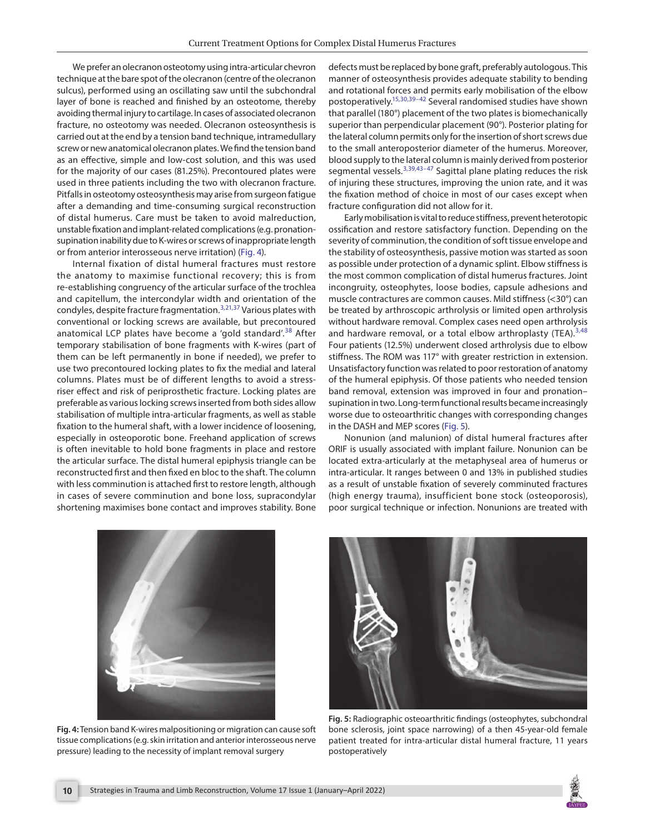We prefer an olecranon osteotomy using intra-articular chevron technique at the bare spot of the olecranon (centre of the olecranon sulcus), performed using an oscillating saw until the subchondral layer of bone is reached and finished by an osteotome, thereby avoiding thermal injury to cartilage. In cases of associated olecranon fracture, no osteotomy was needed. Olecranon osteosynthesis is carried out at the end by a tension band technique, intramedullary screw or new anatomical olecranon plates. We find the tension band as an effective, simple and low-cost solution, and this was used for the majority of our cases (81.25%). Precontoured plates were used in three patients including the two with olecranon fracture. Pitfalls in osteotomy osteosynthesis may arise from surgeon fatigue after a demanding and time-consuming surgical reconstruction of distal humerus. Care must be taken to avoid malreduction, unstable fixation and implant-related complications (e.g. pronationsupination inability due to K-wires or screws of inappropriate length or from anterior interosseous nerve irritation) ([Fig. 4](#page-3-0)).

Internal fixation of distal humeral fractures must restore the anatomy to maximise functional recovery; this is from re-establishing congruency of the articular surface of the trochlea and capitellum, the intercondylar width and orientation of the condyles, despite fracture fragmentation.[3](#page-4-2),[21](#page-5-3),[37](#page-5-14) Various plates with conventional or locking screws are available, but precontoured anatomical LCP plates have become a 'gold standard'.<sup>[38](#page-5-15)</sup> After temporary stabilisation of bone fragments with K-wires (part of them can be left permanently in bone if needed), we prefer to use two precontoured locking plates to fix the medial and lateral columns. Plates must be of different lengths to avoid a stressriser effect and risk of periprosthetic fracture. Locking plates are preferable as various locking screws inserted from both sides allow stabilisation of multiple intra-articular fragments, as well as stable fixation to the humeral shaft, with a lower incidence of loosening, especially in osteoporotic bone. Freehand application of screws is often inevitable to hold bone fragments in place and restore the articular surface. The distal humeral epiphysis triangle can be reconstructed first and then fixed en bloc to the shaft. The column with less comminution is attached first to restore length, although in cases of severe comminution and bone loss, supracondylar shortening maximises bone contact and improves stability. Bone

defects must be replaced by bone graft, preferably autologous. This manner of osteosynthesis provides adequate stability to bending and rotational forces and permits early mobilisation of the elbow postoperatively[.15,](#page-4-9)[30,](#page-5-11)[39–](#page-5-16)[42](#page-5-17) Several randomised studies have shown that parallel (180°) placement of the two plates is biomechanically superior than perpendicular placement (90°). Posterior plating for the lateral column permits only for the insertion of short screws due to the small anteroposterior diameter of the humerus. Moreover, blood supply to the lateral column is mainly derived from posterior segmental vessels. $3,39,43-47$  $3,39,43-47$  $3,39,43-47$  $3,39,43-47$  $3,39,43-47$  Sagittal plane plating reduces the risk of injuring these structures, improving the union rate, and it was the fixation method of choice in most of our cases except when fracture configuration did not allow for it.

Early mobilisation is vital to reduce stiffness, prevent heterotopic ossification and restore satisfactory function. Depending on the severity of comminution, the condition of soft tissue envelope and the stability of osteosynthesis, passive motion was started as soon as possible under protection of a dynamic splint. Elbow stiffness is the most common complication of distal humerus fractures. Joint incongruity, osteophytes, loose bodies, capsule adhesions and muscle contractures are common causes. Mild stiffness (<30°) can be treated by arthroscopic arthrolysis or limited open arthrolysis without hardware removal. Complex cases need open arthrolysis and hardware removal, or a total elbow arthroplasty (TEA).  $3,48$  $3,48$ Four patients (12.5%) underwent closed arthrolysis due to elbow stiffness. The ROM was 117° with greater restriction in extension. Unsatisfactory function was related to poor restoration of anatomy of the humeral epiphysis. Of those patients who needed tension band removal, extension was improved in four and pronation– supination in two. Long-term functional results became increasingly worse due to osteoarthritic changes with corresponding changes in the DASH and MEP scores ([Fig. 5\)](#page-3-1).

Nonunion (and malunion) of distal humeral fractures after ORIF is usually associated with implant failure. Nonunion can be located extra-articularly at the metaphyseal area of humerus or intra-articular. It ranges between 0 and 13% in published studies as a result of unstable fixation of severely comminuted fractures (high energy trauma), insufficient bone stock (osteoporosis), poor surgical technique or infection. Nonunions are treated with

<span id="page-3-0"></span>

**Fig. 4:** Tension band K-wires malpositioning or migration can cause soft tissue complications (e.g. skin irritation and anterior interosseous nerve pressure) leading to the necessity of implant removal surgery

<span id="page-3-1"></span>

**Fig. 5:** Radiographic osteoarthritic findings (osteophytes, subchondral bone sclerosis, joint space narrowing) of a then 45-year-old female patient treated for intra-articular distal humeral fracture, 11 years postoperatively

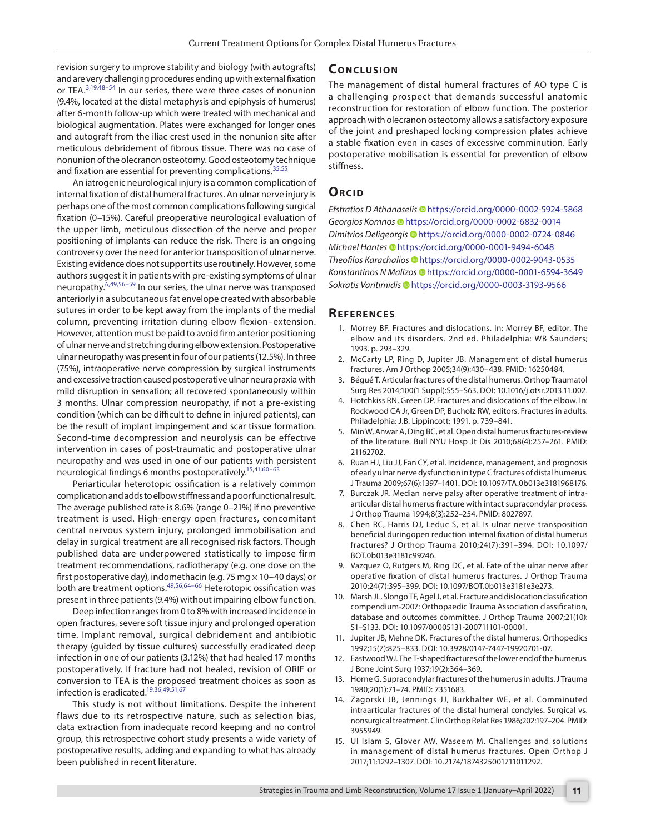revision surgery to improve stability and biology (with autografts) and are very challenging procedures ending up with external fixation or TEA.[3,](#page-4-2)[19,](#page-5-12)[48](#page-5-20)[–54](#page-6-0) In our series, there were three cases of nonunion (9.4%, located at the distal metaphysis and epiphysis of humerus) after 6-month follow-up which were treated with mechanical and biological augmentation. Plates were exchanged for longer ones and autograft from the iliac crest used in the nonunion site after meticulous debridement of fibrous tissue. There was no case of nonunion of the olecranon osteotomy. Good osteotomy technique and fixation are essential for preventing complications.<sup>[35](#page-5-21),[55](#page-6-1)</sup>

An iatrogenic neurological injury is a common complication of internal fixation of distal humeral fractures. An ulnar nerve injury is perhaps one of the most common complications following surgical fixation (0–15%). Careful preoperative neurological evaluation of the upper limb, meticulous dissection of the nerve and proper positioning of implants can reduce the risk. There is an ongoing controversy over the need for anterior transposition of ulnar nerve. Existing evidence does not support its use routinely. However, some authors suggest it in patients with pre-existing symptoms of ulnar neuropathy.[6](#page-4-10),[49](#page-5-22)[,56](#page-6-2)[–59](#page-6-3) In our series, the ulnar nerve was transposed anteriorly in a subcutaneous fat envelope created with absorbable sutures in order to be kept away from the implants of the medial column, preventing irritation during elbow flexion–extension. However, attention must be paid to avoid firm anterior positioning of ulnar nerve and stretching during elbow extension. Postoperative ulnar neuropathy was present in four of our patients (12.5%). In three (75%), intraoperative nerve compression by surgical instruments and excessive traction caused postoperative ulnar neurapraxia with mild disruption in sensation; all recovered spontaneously within 3 months. Ulnar compression neuropathy, if not a pre-existing condition (which can be difficult to define in injured patients), can be the result of implant impingement and scar tissue formation. Second-time decompression and neurolysis can be effective intervention in cases of post-traumatic and postoperative ulnar neuropathy and was used in one of our patients with persistent neurological findings 6 months postoperatively.<sup>15[,41](#page-5-23),60-[63](#page-6-5)</sup>

Periarticular heterotopic ossification is a relatively common complication and adds to elbow stiffness and a poor functional result. The average published rate is 8.6% (range 0–21%) if no preventive treatment is used. High-energy open fractures, concomitant central nervous system injury, prolonged immobilisation and delay in surgical treatment are all recognised risk factors. Though published data are underpowered statistically to impose firm treatment recommendations, radiotherapy (e.g. one dose on the first postoperative day), indomethacin (e.g. 75 mg  $\times$  10-40 days) or both are treatment options.[49](#page-5-22),[56](#page-6-2),[64–](#page-6-6)[66](#page-6-7) Heterotopic ossification was present in three patients (9.4%) without impairing elbow function.

Deep infection ranges from 0 to 8% with increased incidence in open fractures, severe soft tissue injury and prolonged operation time. Implant removal, surgical debridement and antibiotic therapy (guided by tissue cultures) successfully eradicated deep infection in one of our patients (3.12%) that had healed 17 months postoperatively. If fracture had not healed, revision of ORIF or conversion to TEA is the proposed treatment choices as soon as infection is eradicated[.19](#page-5-12),[36](#page-5-13),[49](#page-5-22),[51,](#page-5-24)[67](#page-6-8)

This study is not without limitations. Despite the inherent flaws due to its retrospective nature, such as selection bias, data extraction from inadequate record keeping and no control group, this retrospective cohort study presents a wide variety of postoperative results, adding and expanding to what has already been published in recent literature.

## **CONCLUSION**

The management of distal humeral fractures of AO type C is a challenging prospect that demands successful anatomic reconstruction for restoration of elbow function. The posterior approach with olecranon osteotomy allows a satisfactory exposure of the joint and preshaped locking compression plates achieve a stable fixation even in cases of excessive comminution. Early postoperative mobilisation is essential for prevention of elbow stiffness.

#### **ORCID**

*Efstratios D Athanaseli[s](https://orcid.org/0000-0002-5924-5868)* https://orcid.org/0000-0002-5924-5868 *Georgios Komno[s](https://orcid.org/0000-0002-6832-0014)* https://orcid.org/0000-0002-6832-0014 *Dimitrios Deligeorgi[s](https://orcid.org/0000-0002-0724-0846)* https://orcid.org/0000-0002-0724-0846 *Michael Hantes* [h](https://orcid.org/0000-0001-9494-6048)ttps://orcid.org/0000-0001-9494-6048 *Theofilos Karachalios* [h](https://orcid.org/0000-0002-9043-0535)ttps://orcid.org/0000-0002-9043-0535 *Konstantinos N Malizos* [h](https://orcid.org/0000-0001-6594-3649)ttps://orcid.org/0000-0001-6594-3649 *Sokratis Varitimidis* [h](https://orcid.org/0000-0003-3193-9566)ttps://orcid.org/0000-0003-3193-9566

#### **Re f e r e n c e s**

- <span id="page-4-0"></span>1. Morrey BF. Fractures and dislocations. In: Morrey BF, editor. The elbow and its disorders. 2nd ed. Philadelphia: WB Saunders; 1993. p. 293–329.
- <span id="page-4-1"></span>2. McCarty LP, Ring D, Jupiter JB. Management of distal humerus fractures. Am J Orthop 2005;34(9):430–438. PMID: 16250484.
- <span id="page-4-2"></span>3. Bégué T. Articular fractures of the distal humerus. Orthop Traumatol Surg Res 2014;100(1 Suppl):S55–S63. DOI: 10.1016/j.otsr.2013.11.002.
- <span id="page-4-3"></span>4. Hotchkiss RN, Green DP. Fractures and dislocations of the elbow. In: Rockwood CA Jr, Green DP, Bucholz RW, editors. Fractures in adults. Philadelphia: J.B. Lippincott; 1991. p. 739–841.
- 5. Min W, Anwar A, Ding BC, et al. Open distal humerus fractures-review of the literature. Bull NYU Hosp Jt Dis 2010;68(4):257–261. PMID: 21162702.
- <span id="page-4-10"></span>6. Ruan HJ, Liu JJ, Fan CY, et al. Incidence, management, and prognosis of early ulnar nerve dysfunction in type C fractures of distal humerus. J Trauma 2009;67(6):1397–1401. DOI: 10.1097/TA.0b013e3181968176.
- 7. Burczak JR. Median nerve palsy after operative treatment of intraarticular distal humerus fracture with intact supracondylar process. J Orthop Trauma 1994;8(3):252–254. PMID: 8027897.
- 8. Chen RC, Harris DJ, Leduc S, et al. Is ulnar nerve transposition beneficial duringopen reduction internal fixation of distal humerus fractures? J Orthop Trauma 2010;24(7):391–394. DOI: 10.1097/ BOT.0b013e3181c99246.
- <span id="page-4-4"></span>9. Vazquez O, Rutgers M, Ring DC, et al. Fate of the ulnar nerve after operative fixation of distal humerus fractures. J Orthop Trauma 2010;24(7):395–399. DOI: 10.1097/BOT.0b013e3181e3e273.
- <span id="page-4-5"></span>10. Marsh JL, Slongo TF, Agel J, et al. Fracture and dislocation classification compendium-2007: Orthopaedic Trauma Association classification, database and outcomes committee. J Orthop Trauma 2007;21(10): S1–S133. DOI: 10.1097/00005131-200711101-00001.
- <span id="page-4-6"></span>11. Jupiter JB, Mehne DK. Fractures of the distal humerus. Orthopedics 1992;15(7):825–833. DOI: 10.3928/0147-7447-19920701-07.
- <span id="page-4-7"></span>12. Eastwood WJ. The T-shaped fractures of the lower end of the humerus. J Bone Joint Surg 1937;19(2):364–369.
- <span id="page-4-8"></span>13. Horne G. Supracondylar fractures of the humerus in adults. J Trauma 1980;20(1):71–74. PMID: 7351683.
- 14. Zagorski JB, Jennings JJ, Burkhalter WE, et al. Comminuted intraarticular fractures of the distal humeral condyles. Surgical vs. nonsurgical treatment. Clin Orthop Relat Res 1986;202:197–204. PMID: 3955949.
- <span id="page-4-9"></span>15. Ul Islam S, Glover AW, Waseem M. Challenges and solutions in management of distal humerus fractures. Open Orthop J 2017;11:1292–1307. DOI: 10.2174/1874325001711011292.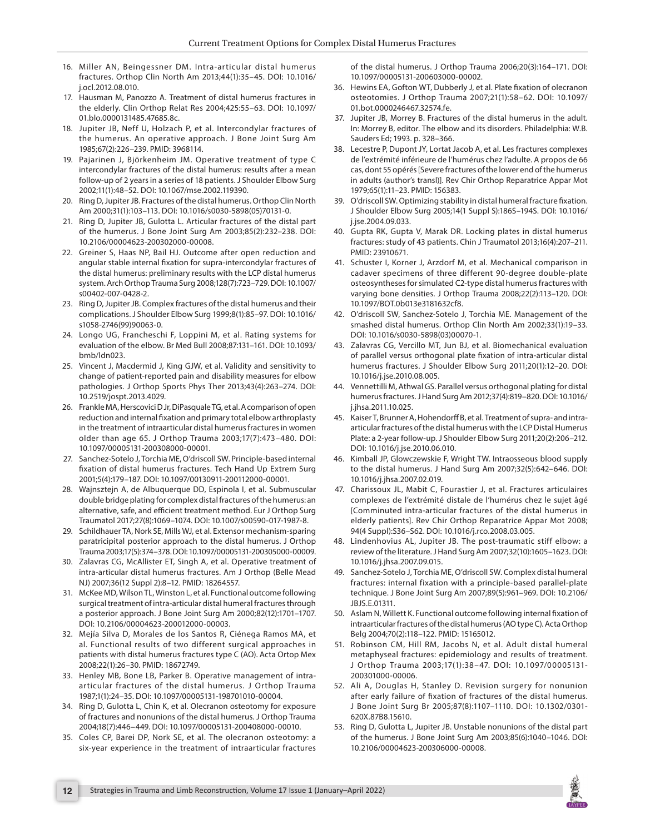- <span id="page-5-0"></span>16. Miller AN, Beingessner DM. Intra-articular distal humerus fractures. Orthop Clin North Am 2013;44(1):35–45. DOI: 10.1016/ j.ocl.2012.08.010.
- <span id="page-5-1"></span>17. Hausman M, Panozzo A. Treatment of distal humerus fractures in the elderly. Clin Orthop Relat Res 2004;425:55–63. DOI: 10.1097/ 01.blo.0000131485.47685.8c.
- <span id="page-5-2"></span>18. Jupiter JB, Neff U, Holzach P, et al. Intercondylar fractures of the humerus. An operative approach. J Bone Joint Surg Am 1985;67(2):226–239. PMID: 3968114.
- <span id="page-5-12"></span>19. Pajarinen J, Björkenheim JM. Operative treatment of type C intercondylar fractures of the distal humerus: results after a mean follow-up of 2 years in a series of 18 patients. J Shoulder Elbow Surg 2002;11(1):48–52. DOI: 10.1067/mse.2002.119390.
- 20. Ring D, Jupiter JB. Fractures of the distal humerus. Orthop Clin North Am 2000;31(1):103–113. DOI: 10.1016/s0030-5898(05)70131-0.
- <span id="page-5-3"></span>21. Ring D, Jupiter JB, Gulotta L. Articular fractures of the distal part of the humerus. J Bone Joint Surg Am 2003;85(2):232–238. DOI: 10.2106/00004623-200302000-00008.
- <span id="page-5-4"></span>22. Greiner S, Haas NP, Bail HJ. Outcome after open reduction and angular stable internal fixation for supra-intercondylar fractures of the distal humerus: preliminary results with the LCP distal humerus system. Arch Orthop Trauma Surg 2008;128(7):723–729. DOI: 10.1007/ s00402-007-0428-2.
- <span id="page-5-5"></span>23. Ring D, Jupiter JB. Complex fractures of the distal humerus and their complications. J Shoulder Elbow Surg 1999;8(1):85–97. DOI: 10.1016/ s1058-2746(99)90063-0.
- <span id="page-5-6"></span>24. Longo UG, Francheschi F, Loppini M, et al. Rating systems for evaluation of the elbow. Br Med Bull 2008;87:131–161. DOI: 10.1093/ bmb/ldn023.
- <span id="page-5-7"></span>25. Vincent J, Macdermid J, King GJW, et al. Validity and sensitivity to change of patient-reported pain and disability measures for elbow pathologies. J Orthop Sports Phys Ther 2013;43(4):263–274. DOI: 10.2519/jospt.2013.4029.
- <span id="page-5-8"></span>26. Frankle MA, Herscovici D Jr, DiPasquale TG, et al. A comparison of open reduction and internal fixation and primary total elbow arthroplasty in the treatment of intraarticular distal humerus fractures in women older than age 65. J Orthop Trauma 2003;17(7):473–480. DOI: 10.1097/00005131-200308000-00001.
- 27. Sanchez-Sotelo J, Torchia ME, O'driscoll SW. Principle-based internal fixation of distal humerus fractures. Tech Hand Up Extrem Surg 2001;5(4):179–187. DOI: 10.1097/00130911-200112000-00001.
- <span id="page-5-9"></span>28. Wajnsztejn A, de Albuquerque DD, Espinola I, et al. Submuscular double bridge plating for complex distal fractures of the humerus: an alternative, safe, and efficient treatment method. Eur J Orthop Surg Traumatol 2017;27(8):1069–1074. DOI: 10.1007/s00590-017-1987-8.
- <span id="page-5-10"></span>29. Schildhauer TA, Nork SE, Mills WJ, et al. Extensor mechanism-sparing paratricipital posterior approach to the distal humerus. J Orthop Trauma 2003;17(5):374–378. DOI: 10.1097/00005131-200305000-00009.
- <span id="page-5-11"></span>30. Zalavras CG, McAllister ET, Singh A, et al. Operative treatment of intra-articular distal humerus fractures. Am J Orthop (Belle Mead NJ) 2007;36(12 Suppl 2):8–12. PMID: 18264557.
- 31. McKee MD, Wilson TL, Winston L, et al. Functional outcome following surgical treatment of intra-articular distal humeral fractures through a posterior approach. J Bone Joint Surg Am 2000;82(12):1701–1707. DOI: 10.2106/00004623-200012000-00003.
- 32. Mejía Silva D, Morales de los Santos R, Ciénega Ramos MA, et al. Functional results of two different surgical approaches in patients with distal humerus fractures type C (AO). Acta Ortop Mex 2008;22(1):26–30. PMID: 18672749.
- 33. Henley MB, Bone LB, Parker B. Operative management of intraarticular fractures of the distal humerus. J Orthop Trauma 1987;1(1):24–35. DOI: 10.1097/00005131-198701010-00004.
- 34. Ring D, Gulotta L, Chin K, et al. Olecranon osteotomy for exposure of fractures and nonunions of the distal humerus. J Orthop Trauma 2004;18(7):446–449. DOI: 10.1097/00005131-200408000-00010.
- <span id="page-5-21"></span>35. Coles CP, Barei DP, Nork SE, et al. The olecranon osteotomy: a six-year experience in the treatment of intraarticular fractures

of the distal humerus. J Orthop Trauma 2006;20(3):164–171. DOI: 10.1097/00005131-200603000-00002.

- <span id="page-5-13"></span>36. Hewins EA, Gofton WT, Dubberly J, et al. Plate fixation of olecranon osteotomies. J Orthop Trauma 2007;21(1):58–62. DOI: 10.1097/ 01.bot.0000246467.32574.fe.
- <span id="page-5-14"></span>37. Jupiter JB, Morrey B. Fractures of the distal humerus in the adult. In: Morrey B, editor. The elbow and its disorders. Philadelphia: W.B. Sauders Ed; 1993. p. 328–366.
- <span id="page-5-15"></span>38. Lecestre P, Dupont JY, Lortat Jacob A, et al. Les fractures complexes de l'extrémité inférieure de l'humérus chez l'adulte. A propos de 66 cas, dont 55 opérés [Severe fractures of the lower end of the humerus in adults (author's transl)]. Rev Chir Orthop Reparatrice Appar Mot 1979;65(1):11–23. PMID: 156383.
- <span id="page-5-16"></span>39. O'driscoll SW. Optimizing stability in distal humeral fracture fixation. J Shoulder Elbow Surg 2005;14(1 Suppl S):186S–194S. DOI: 10.1016/ j.jse.2004.09.033.
- 40. Gupta RK, Gupta V, Marak DR. Locking plates in distal humerus fractures: study of 43 patients. Chin J Traumatol 2013;16(4):207–211. PMID: 23910671.
- <span id="page-5-23"></span>41. Schuster I, Korner J, Arzdorf M, et al. Mechanical comparison in cadaver specimens of three different 90-degree double-plate osteosyntheses for simulated C2-type distal humerus fractures with varying bone densities. J Orthop Trauma 2008;22(2):113–120. DOI: 10.1097/BOT.0b013e3181632cf8.
- <span id="page-5-17"></span>42. O'driscoll SW, Sanchez-Sotelo J, Torchia ME. Management of the smashed distal humerus. Orthop Clin North Am 2002;33(1):19–33. DOI: 10.1016/s0030-5898(03)00070-1.
- <span id="page-5-18"></span>43. Zalavras CG, Vercillo MT, Jun BJ, et al. Biomechanical evaluation of parallel versus orthogonal plate fixation of intra-articular distal humerus fractures. J Shoulder Elbow Surg 2011;20(1):12–20. DOI: 10.1016/j.jse.2010.08.005.
- 44. Vennettilli M, Athwal GS. Parallel versus orthogonal plating for distal humerus fractures. J Hand Surg Am 2012;37(4):819–820. DOI: 10.1016/ j.jhsa.2011.10.025.
- 45. Kaiser T, Brunner A, Hohendorff B, et al. Treatment of supra- and intraarticular fractures of the distal humerus with the LCP Distal Humerus Plate: a 2-year follow-up. J Shoulder Elbow Surg 2011;20(2):206–212. DOI: 10.1016/j.jse.2010.06.010.
- 46. Kimball JP, Glowczewskie F, Wright TW. Intraosseous blood supply to the distal humerus. J Hand Surg Am 2007;32(5):642–646. DOI: 10.1016/j.jhsa.2007.02.019.
- <span id="page-5-19"></span>47. Charissoux JL, Mabit C, Fourastier J, et al. Fractures articulaires complexes de l'extrémité distale de l'humérus chez le sujet âgé [Comminuted intra-articular fractures of the distal humerus in elderly patients]. Rev Chir Orthop Reparatrice Appar Mot 2008; 94(4 Suppl):S36–S62. DOI: 10.1016/j.rco.2008.03.005.
- <span id="page-5-20"></span>48. Lindenhovius AL, Jupiter JB. The post-traumatic stiff elbow: a review of the literature. J Hand Surg Am 2007;32(10):1605–1623. DOI: 10.1016/j.jhsa.2007.09.015.
- <span id="page-5-22"></span>49. Sanchez-Sotelo J, Torchia ME, O'driscoll SW. Complex distal humeral fractures: internal fixation with a principle-based parallel-plate technique. J Bone Joint Surg Am 2007;89(5):961–969. DOI: 10.2106/ JBJS.E.01311.
- 50. Aslam N, Willett K. Functional outcome following internal fixation of intraarticular fractures of the distal humerus (AO type C). Acta Orthop Belg 2004;70(2):118–122. PMID: 15165012.
- <span id="page-5-24"></span>51. Robinson CM, Hill RM, Jacobs N, et al. Adult distal humeral metaphyseal fractures: epidemiology and results of treatment. J Orthop Trauma 2003;17(1):38–47. DOI: 10.1097/00005131- 200301000-00006.
- 52. Ali A, Douglas H, Stanley D. Revision surgery for nonunion after early failure of fixation of fractures of the distal humerus. J Bone Joint Surg Br 2005;87(8):1107–1110. DOI: 10.1302/0301- 620X.87B8.15610.
- 53. Ring D, Gulotta L, Jupiter JB. Unstable nonunions of the distal part of the humerus. J Bone Joint Surg Am 2003;85(6):1040–1046. DOI: 10.2106/00004623-200306000-00008.